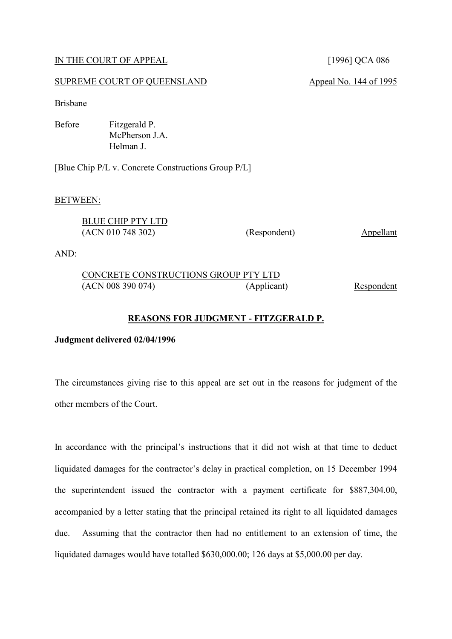#### IN THE COURT OF APPEAL [1996] QCA 086

# SUPREME COURT OF QUEENSLAND Appeal No. 144 of 1995

Brisbane

Before Fitzgerald P. McPherson J.A. Helman J.

[Blue Chip P/L v. Concrete Constructions Group P/L]

#### BETWEEN:

| BLUE CHIP PTY LTD |              |           |
|-------------------|--------------|-----------|
| (ACN 010 748 302) | (Respondent) | Appellant |

AND:

| CONCRETE CONSTRUCTIONS GROUP PTY LTD |             |            |
|--------------------------------------|-------------|------------|
| (ACN 008 390 074)                    | (Applicant) | Respondent |

# **REASONS FOR JUDGMENT - FITZGERALD P.**

#### **Judgment delivered 02/04/1996**

The circumstances giving rise to this appeal are set out in the reasons for judgment of the other members of the Court.

In accordance with the principal's instructions that it did not wish at that time to deduct liquidated damages for the contractor's delay in practical completion, on 15 December 1994 the superintendent issued the contractor with a payment certificate for \$887,304.00, accompanied by a letter stating that the principal retained its right to all liquidated damages due. Assuming that the contractor then had no entitlement to an extension of time, the liquidated damages would have totalled \$630,000.00; 126 days at \$5,000.00 per day.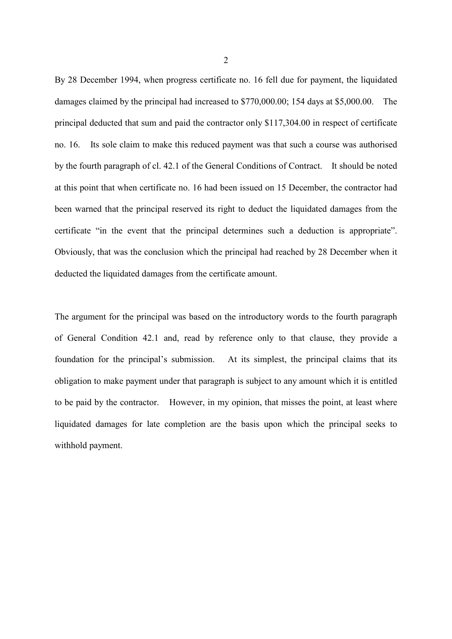By 28 December 1994, when progress certificate no. 16 fell due for payment, the liquidated damages claimed by the principal had increased to \$770,000.00; 154 days at \$5,000.00. The principal deducted that sum and paid the contractor only \$117,304.00 in respect of certificate no. 16. Its sole claim to make this reduced payment was that such a course was authorised by the fourth paragraph of cl. 42.1 of the General Conditions of Contract. It should be noted at this point that when certificate no. 16 had been issued on 15 December, the contractor had been warned that the principal reserved its right to deduct the liquidated damages from the certificate "in the event that the principal determines such a deduction is appropriate". Obviously, that was the conclusion which the principal had reached by 28 December when it deducted the liquidated damages from the certificate amount.

The argument for the principal was based on the introductory words to the fourth paragraph of General Condition 42.1 and, read by reference only to that clause, they provide a foundation for the principal's submission. At its simplest, the principal claims that its obligation to make payment under that paragraph is subject to any amount which it is entitled to be paid by the contractor. However, in my opinion, that misses the point, at least where liquidated damages for late completion are the basis upon which the principal seeks to withhold payment.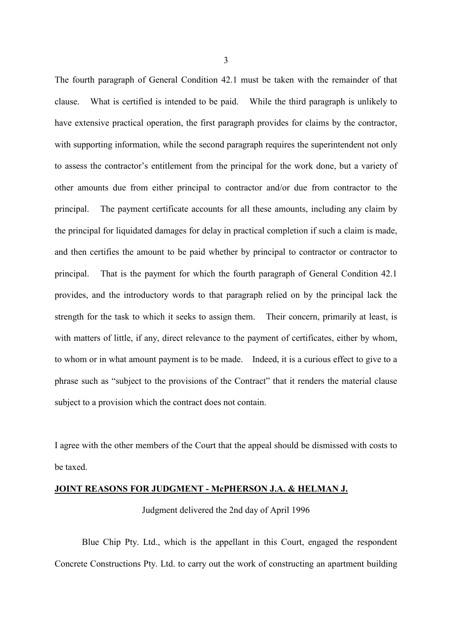The fourth paragraph of General Condition 42.1 must be taken with the remainder of that clause. What is certified is intended to be paid. While the third paragraph is unlikely to have extensive practical operation, the first paragraph provides for claims by the contractor, with supporting information, while the second paragraph requires the superintendent not only to assess the contractor's entitlement from the principal for the work done, but a variety of other amounts due from either principal to contractor and/or due from contractor to the principal. The payment certificate accounts for all these amounts, including any claim by the principal for liquidated damages for delay in practical completion if such a claim is made, and then certifies the amount to be paid whether by principal to contractor or contractor to principal. That is the payment for which the fourth paragraph of General Condition 42.1 provides, and the introductory words to that paragraph relied on by the principal lack the strength for the task to which it seeks to assign them. Their concern, primarily at least, is with matters of little, if any, direct relevance to the payment of certificates, either by whom, to whom or in what amount payment is to be made. Indeed, it is a curious effect to give to a phrase such as "subject to the provisions of the Contract" that it renders the material clause subject to a provision which the contract does not contain.

I agree with the other members of the Court that the appeal should be dismissed with costs to be taxed.

#### **JOINT REASONS FOR JUDGMENT - McPHERSON J.A. & HELMAN J.**

Judgment delivered the 2nd day of April 1996

Blue Chip Pty. Ltd., which is the appellant in this Court, engaged the respondent Concrete Constructions Pty. Ltd. to carry out the work of constructing an apartment building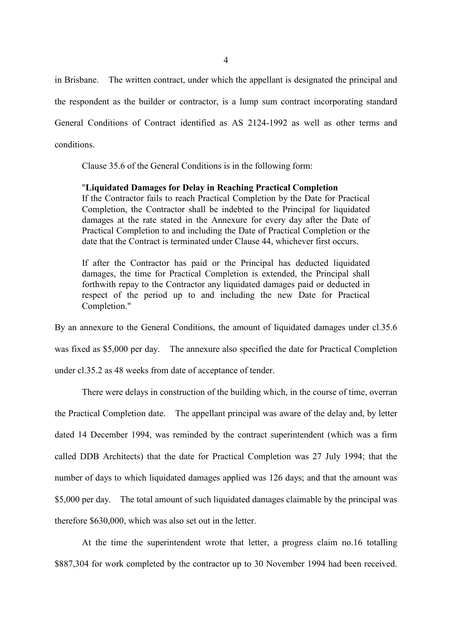in Brisbane. The written contract, under which the appellant is designated the principal and the respondent as the builder or contractor, is a lump sum contract incorporating standard General Conditions of Contract identified as AS 2124-1992 as well as other terms and conditions.

Clause 35.6 of the General Conditions is in the following form:

# "**Liquidated Damages for Delay in Reaching Practical Completion** If the Contractor fails to reach Practical Completion by the Date for Practical Completion, the Contractor shall be indebted to the Principal for liquidated damages at the rate stated in the Annexure for every day after the Date of Practical Completion to and including the Date of Practical Completion or the date that the Contract is terminated under Clause 44, whichever first occurs.

If after the Contractor has paid or the Principal has deducted liquidated damages, the time for Practical Completion is extended, the Principal shall forthwith repay to the Contractor any liquidated damages paid or deducted in respect of the period up to and including the new Date for Practical Completion."

By an annexure to the General Conditions, the amount of liquidated damages under cl.35.6 was fixed as \$5,000 per day. The annexure also specified the date for Practical Completion under cl.35.2 as 48 weeks from date of acceptance of tender.

There were delays in construction of the building which, in the course of time, overran the Practical Completion date. The appellant principal was aware of the delay and, by letter dated 14 December 1994, was reminded by the contract superintendent (which was a firm called DDB Architects) that the date for Practical Completion was 27 July 1994; that the number of days to which liquidated damages applied was 126 days; and that the amount was \$5,000 per day. The total amount of such liquidated damages claimable by the principal was therefore \$630,000, which was also set out in the letter.

At the time the superintendent wrote that letter, a progress claim no.16 totalling \$887,304 for work completed by the contractor up to 30 November 1994 had been received.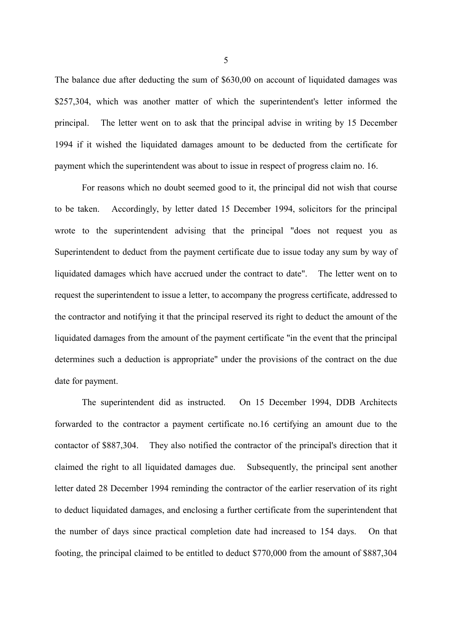The balance due after deducting the sum of \$630,00 on account of liquidated damages was \$257,304, which was another matter of which the superintendent's letter informed the principal. The letter went on to ask that the principal advise in writing by 15 December 1994 if it wished the liquidated damages amount to be deducted from the certificate for payment which the superintendent was about to issue in respect of progress claim no. 16.

For reasons which no doubt seemed good to it, the principal did not wish that course to be taken. Accordingly, by letter dated 15 December 1994, solicitors for the principal wrote to the superintendent advising that the principal "does not request you as Superintendent to deduct from the payment certificate due to issue today any sum by way of liquidated damages which have accrued under the contract to date". The letter went on to request the superintendent to issue a letter, to accompany the progress certificate, addressed to the contractor and notifying it that the principal reserved its right to deduct the amount of the liquidated damages from the amount of the payment certificate "in the event that the principal determines such a deduction is appropriate" under the provisions of the contract on the due date for payment.

The superintendent did as instructed. On 15 December 1994, DDB Architects forwarded to the contractor a payment certificate no.16 certifying an amount due to the contactor of \$887,304. They also notified the contractor of the principal's direction that it claimed the right to all liquidated damages due. Subsequently, the principal sent another letter dated 28 December 1994 reminding the contractor of the earlier reservation of its right to deduct liquidated damages, and enclosing a further certificate from the superintendent that the number of days since practical completion date had increased to 154 days. On that footing, the principal claimed to be entitled to deduct \$770,000 from the amount of \$887,304

5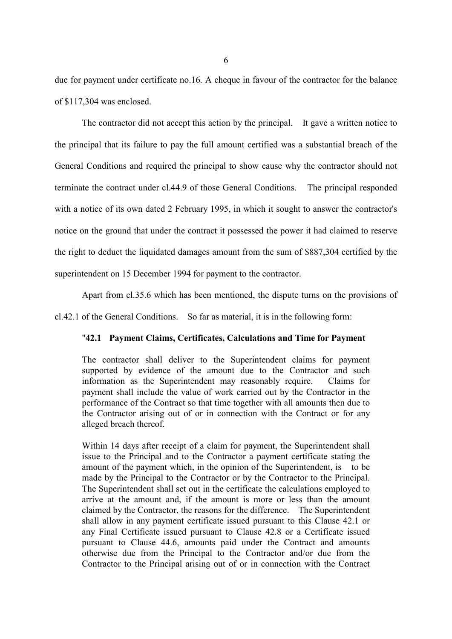due for payment under certificate no.16. A cheque in favour of the contractor for the balance of \$117,304 was enclosed.

The contractor did not accept this action by the principal. It gave a written notice to the principal that its failure to pay the full amount certified was a substantial breach of the General Conditions and required the principal to show cause why the contractor should not terminate the contract under cl.44.9 of those General Conditions. The principal responded with a notice of its own dated 2 February 1995, in which it sought to answer the contractor's notice on the ground that under the contract it possessed the power it had claimed to reserve the right to deduct the liquidated damages amount from the sum of \$887,304 certified by the superintendent on 15 December 1994 for payment to the contractor.

Apart from cl.35.6 which has been mentioned, the dispute turns on the provisions of

cl.42.1 of the General Conditions. So far as material, it is in the following form:

### "**42.1 Payment Claims, Certificates, Calculations and Time for Payment**

The contractor shall deliver to the Superintendent claims for payment supported by evidence of the amount due to the Contractor and such information as the Superintendent may reasonably require. Claims for payment shall include the value of work carried out by the Contractor in the performance of the Contract so that time together with all amounts then due to the Contractor arising out of or in connection with the Contract or for any alleged breach thereof.

Within 14 days after receipt of a claim for payment, the Superintendent shall issue to the Principal and to the Contractor a payment certificate stating the amount of the payment which, in the opinion of the Superintendent, is to be made by the Principal to the Contractor or by the Contractor to the Principal. The Superintendent shall set out in the certificate the calculations employed to arrive at the amount and, if the amount is more or less than the amount claimed by the Contractor, the reasons for the difference. The Superintendent shall allow in any payment certificate issued pursuant to this Clause 42.1 or any Final Certificate issued pursuant to Clause 42.8 or a Certificate issued pursuant to Clause 44.6, amounts paid under the Contract and amounts otherwise due from the Principal to the Contractor and/or due from the Contractor to the Principal arising out of or in connection with the Contract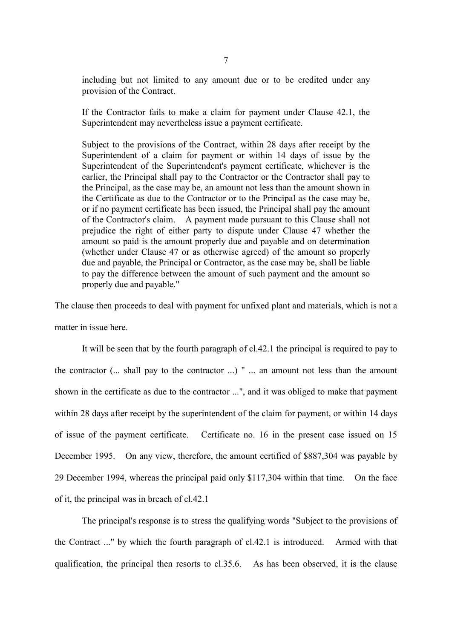including but not limited to any amount due or to be credited under any provision of the Contract.

If the Contractor fails to make a claim for payment under Clause 42.1, the Superintendent may nevertheless issue a payment certificate.

Subject to the provisions of the Contract, within 28 days after receipt by the Superintendent of a claim for payment or within 14 days of issue by the Superintendent of the Superintendent's payment certificate, whichever is the earlier, the Principal shall pay to the Contractor or the Contractor shall pay to the Principal, as the case may be, an amount not less than the amount shown in the Certificate as due to the Contractor or to the Principal as the case may be, or if no payment certificate has been issued, the Principal shall pay the amount of the Contractor's claim. A payment made pursuant to this Clause shall not prejudice the right of either party to dispute under Clause 47 whether the amount so paid is the amount properly due and payable and on determination (whether under Clause 47 or as otherwise agreed) of the amount so properly due and payable, the Principal or Contractor, as the case may be, shall be liable to pay the difference between the amount of such payment and the amount so properly due and payable."

The clause then proceeds to deal with payment for unfixed plant and materials, which is not a matter in issue here.

It will be seen that by the fourth paragraph of cl.42.1 the principal is required to pay to the contractor (... shall pay to the contractor ...) " ... an amount not less than the amount shown in the certificate as due to the contractor ...", and it was obliged to make that payment within 28 days after receipt by the superintendent of the claim for payment, or within 14 days of issue of the payment certificate. Certificate no. 16 in the present case issued on 15 December 1995. On any view, therefore, the amount certified of \$887,304 was payable by 29 December 1994, whereas the principal paid only \$117,304 within that time. On the face of it, the principal was in breach of cl.42.1

The principal's response is to stress the qualifying words "Subject to the provisions of the Contract ..." by which the fourth paragraph of cl.42.1 is introduced. Armed with that qualification, the principal then resorts to cl.35.6. As has been observed, it is the clause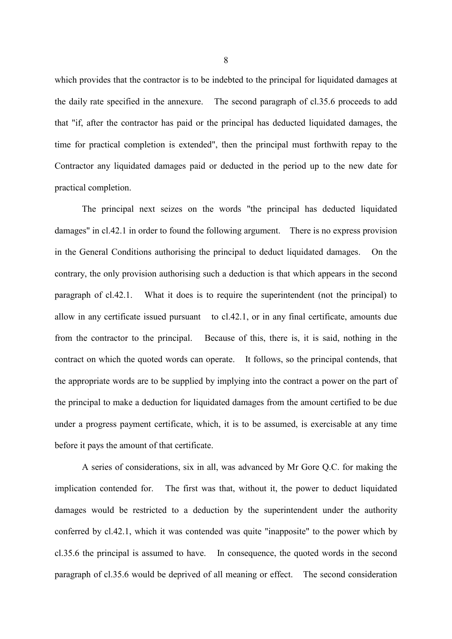which provides that the contractor is to be indebted to the principal for liquidated damages at the daily rate specified in the annexure. The second paragraph of cl.35.6 proceeds to add that "if, after the contractor has paid or the principal has deducted liquidated damages, the time for practical completion is extended", then the principal must forthwith repay to the Contractor any liquidated damages paid or deducted in the period up to the new date for practical completion.

The principal next seizes on the words "the principal has deducted liquidated damages" in cl.42.1 in order to found the following argument. There is no express provision in the General Conditions authorising the principal to deduct liquidated damages. On the contrary, the only provision authorising such a deduction is that which appears in the second paragraph of cl.42.1. What it does is to require the superintendent (not the principal) to allow in any certificate issued pursuant to cl.42.1, or in any final certificate, amounts due from the contractor to the principal. Because of this, there is, it is said, nothing in the contract on which the quoted words can operate. It follows, so the principal contends, that the appropriate words are to be supplied by implying into the contract a power on the part of the principal to make a deduction for liquidated damages from the amount certified to be due under a progress payment certificate, which, it is to be assumed, is exercisable at any time before it pays the amount of that certificate.

A series of considerations, six in all, was advanced by Mr Gore Q.C. for making the implication contended for. The first was that, without it, the power to deduct liquidated damages would be restricted to a deduction by the superintendent under the authority conferred by cl.42.1, which it was contended was quite "inapposite" to the power which by cl.35.6 the principal is assumed to have. In consequence, the quoted words in the second paragraph of cl.35.6 would be deprived of all meaning or effect. The second consideration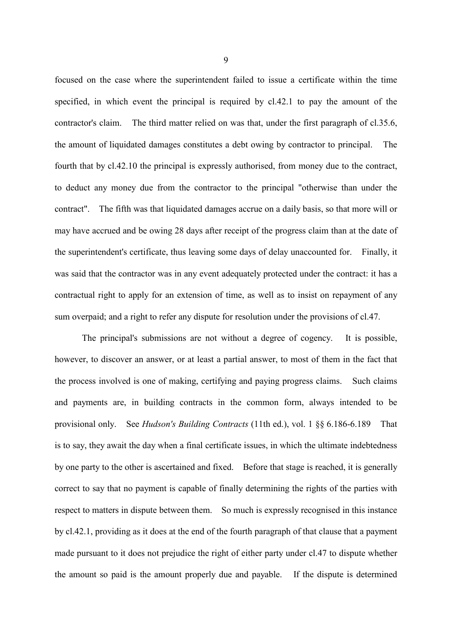focused on the case where the superintendent failed to issue a certificate within the time specified, in which event the principal is required by cl.42.1 to pay the amount of the contractor's claim. The third matter relied on was that, under the first paragraph of cl.35.6, the amount of liquidated damages constitutes a debt owing by contractor to principal. The fourth that by cl.42.10 the principal is expressly authorised, from money due to the contract, to deduct any money due from the contractor to the principal "otherwise than under the contract". The fifth was that liquidated damages accrue on a daily basis, so that more will or may have accrued and be owing 28 days after receipt of the progress claim than at the date of the superintendent's certificate, thus leaving some days of delay unaccounted for. Finally, it was said that the contractor was in any event adequately protected under the contract: it has a contractual right to apply for an extension of time, as well as to insist on repayment of any sum overpaid; and a right to refer any dispute for resolution under the provisions of cl.47.

The principal's submissions are not without a degree of cogency. It is possible, however, to discover an answer, or at least a partial answer, to most of them in the fact that the process involved is one of making, certifying and paying progress claims. Such claims and payments are, in building contracts in the common form, always intended to be provisional only. See *Hudson's Building Contracts* (11th ed.), vol. 1 §§ 6.186-6.189 That is to say, they await the day when a final certificate issues, in which the ultimate indebtedness by one party to the other is ascertained and fixed. Before that stage is reached, it is generally correct to say that no payment is capable of finally determining the rights of the parties with respect to matters in dispute between them. So much is expressly recognised in this instance by cl.42.1, providing as it does at the end of the fourth paragraph of that clause that a payment made pursuant to it does not prejudice the right of either party under cl.47 to dispute whether the amount so paid is the amount properly due and payable. If the dispute is determined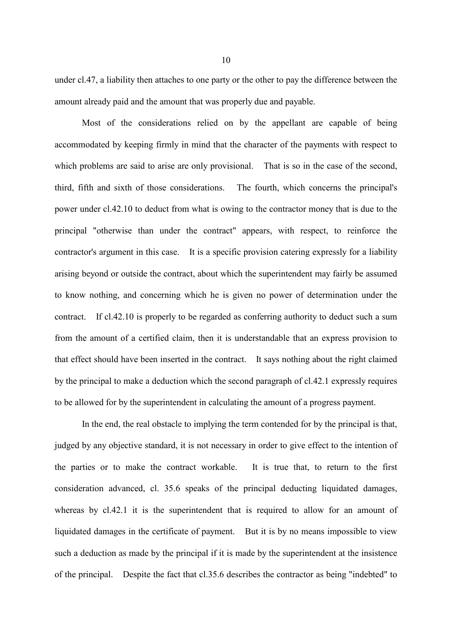under cl.47, a liability then attaches to one party or the other to pay the difference between the amount already paid and the amount that was properly due and payable.

Most of the considerations relied on by the appellant are capable of being accommodated by keeping firmly in mind that the character of the payments with respect to which problems are said to arise are only provisional. That is so in the case of the second, third, fifth and sixth of those considerations. The fourth, which concerns the principal's power under cl.42.10 to deduct from what is owing to the contractor money that is due to the principal "otherwise than under the contract" appears, with respect, to reinforce the contractor's argument in this case. It is a specific provision catering expressly for a liability arising beyond or outside the contract, about which the superintendent may fairly be assumed to know nothing, and concerning which he is given no power of determination under the contract. If cl.42.10 is properly to be regarded as conferring authority to deduct such a sum from the amount of a certified claim, then it is understandable that an express provision to that effect should have been inserted in the contract. It says nothing about the right claimed by the principal to make a deduction which the second paragraph of cl.42.1 expressly requires to be allowed for by the superintendent in calculating the amount of a progress payment.

In the end, the real obstacle to implying the term contended for by the principal is that, judged by any objective standard, it is not necessary in order to give effect to the intention of the parties or to make the contract workable. It is true that, to return to the first consideration advanced, cl. 35.6 speaks of the principal deducting liquidated damages, whereas by cl.42.1 it is the superintendent that is required to allow for an amount of liquidated damages in the certificate of payment. But it is by no means impossible to view such a deduction as made by the principal if it is made by the superintendent at the insistence of the principal. Despite the fact that cl.35.6 describes the contractor as being "indebted" to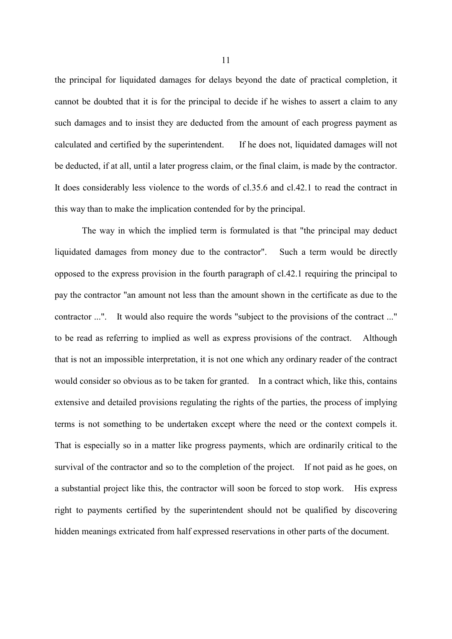the principal for liquidated damages for delays beyond the date of practical completion, it cannot be doubted that it is for the principal to decide if he wishes to assert a claim to any such damages and to insist they are deducted from the amount of each progress payment as calculated and certified by the superintendent. If he does not, liquidated damages will not be deducted, if at all, until a later progress claim, or the final claim, is made by the contractor. It does considerably less violence to the words of cl.35.6 and cl.42.1 to read the contract in this way than to make the implication contended for by the principal.

The way in which the implied term is formulated is that "the principal may deduct liquidated damages from money due to the contractor". Such a term would be directly opposed to the express provision in the fourth paragraph of cl.42.1 requiring the principal to pay the contractor "an amount not less than the amount shown in the certificate as due to the contractor ...". It would also require the words "subject to the provisions of the contract ..." to be read as referring to implied as well as express provisions of the contract. Although that is not an impossible interpretation, it is not one which any ordinary reader of the contract would consider so obvious as to be taken for granted. In a contract which, like this, contains extensive and detailed provisions regulating the rights of the parties, the process of implying terms is not something to be undertaken except where the need or the context compels it. That is especially so in a matter like progress payments, which are ordinarily critical to the survival of the contractor and so to the completion of the project. If not paid as he goes, on a substantial project like this, the contractor will soon be forced to stop work. His express right to payments certified by the superintendent should not be qualified by discovering hidden meanings extricated from half expressed reservations in other parts of the document.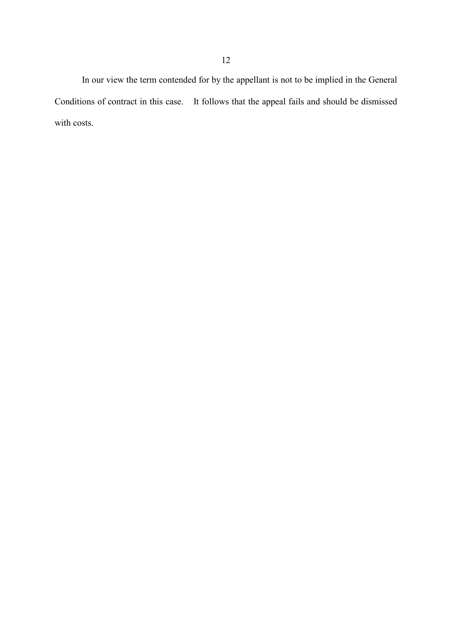In our view the term contended for by the appellant is not to be implied in the General Conditions of contract in this case. It follows that the appeal fails and should be dismissed with costs.